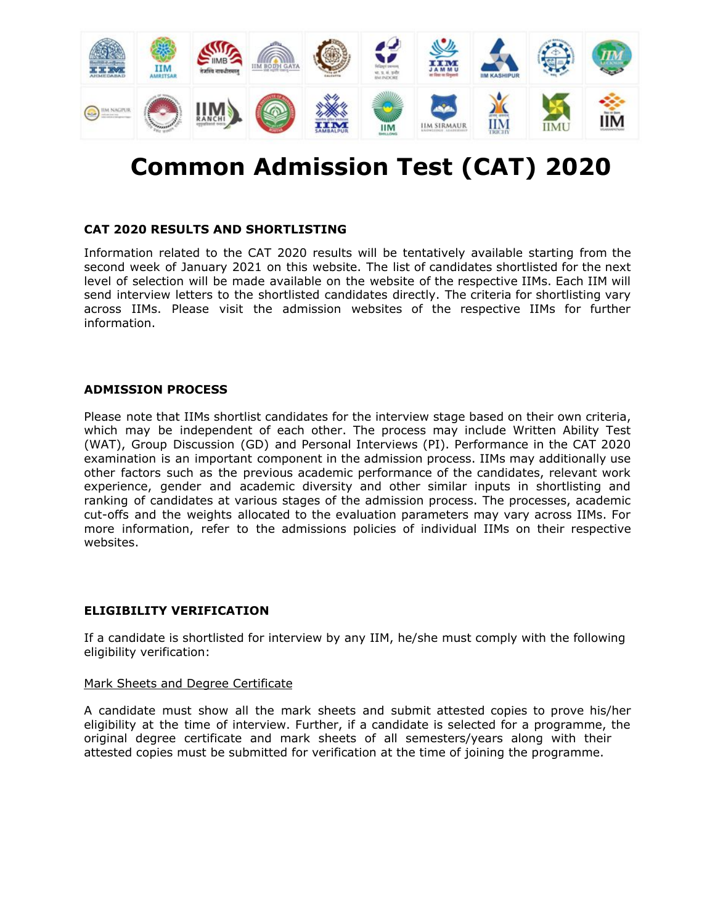

# **Common Admission Test (CAT) 2020**

## **CAT 2020 RESULTS AND SHORTLISTING**

Information related to the CAT 2020 results will be tentatively available starting from the second week of January 2021 on this website. The list of candidates shortlisted for the next level of selection will be made available on the website of the respective IIMs. Each IIM will send interview letters to the shortlisted candidates directly. The criteria for shortlisting vary across IIMs. Please visit the admission websites of the respective IIMs for further information.

## **ADMISSION PROCESS**

Please note that IIMs shortlist candidates for the interview stage based on their own criteria, which may be independent of each other. The process may include Written Ability Test (WAT), Group Discussion (GD) and Personal Interviews (PI). Performance in the CAT 2020 examination is an important component in the admission process. IIMs may additionally use other factors such as the previous academic performance of the candidates, relevant work experience, gender and academic diversity and other similar inputs in shortlisting and ranking of candidates at various stages of the admission process. The processes, academic cut-offs and the weights allocated to the evaluation parameters may vary across IIMs. For more information, refer to the admissions policies of individual IIMs on their respective websites.

## **ELIGIBILITY VERIFICATION**

If a candidate is shortlisted for interview by any IIM, he/she must comply with the following eligibility verification:

#### Mark Sheets and Degree Certificate

A candidate must show all the mark sheets and submit attested copies to prove his/her eligibility at the time of interview. Further, if a candidate is selected for a programme, the original degree certificate and mark sheets of all semesters/years along with their attested copies must be submitted for verification at the time of joining the programme.